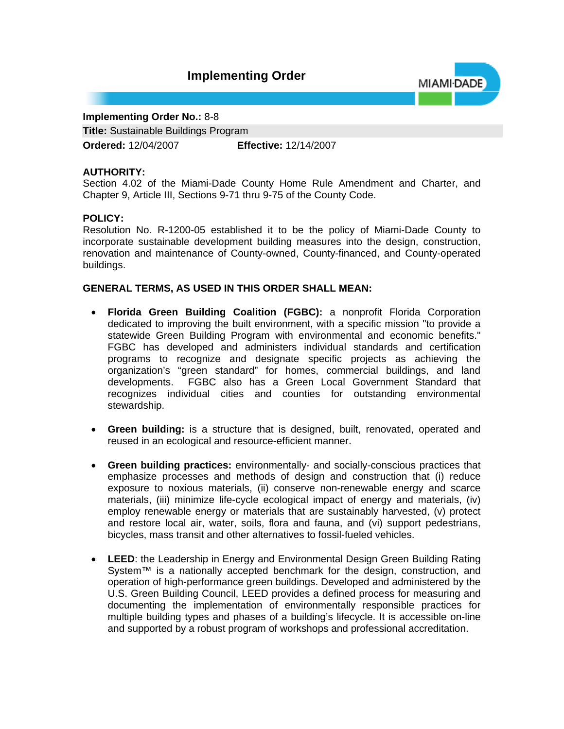# **Implementing Order**



## **Implementing Order No.:** 8-8

**Title:** Sustainable Buildings Program

**Ordered:** 12/04/2007 **Effective:** 12/14/2007

## **AUTHORITY:**

Section 4.02 of the Miami-Dade County Home Rule Amendment and Charter, and Chapter 9, Article III, Sections 9-71 thru 9-75 of the County Code.

## **POLICY:**

Resolution No. R-1200-05 established it to be the policy of Miami-Dade County to incorporate sustainable development building measures into the design, construction, renovation and maintenance of County-owned, County-financed, and County-operated buildings.

# **GENERAL TERMS, AS USED IN THIS ORDER SHALL MEAN:**

- **Florida Green Building Coalition (FGBC):** a nonprofit Florida Corporation dedicated to improving the built environment, with a specific mission "to provide a statewide Green Building Program with environmental and economic benefits." FGBC has developed and administers individual standards and certification programs to recognize and designate specific projects as achieving the organization's "green standard" for homes, commercial buildings, and land developments. FGBC also has a Green Local Government Standard that recognizes individual cities and counties for outstanding environmental stewardship.
- **Green building:** is a structure that is designed, built, renovated, operated and reused in an ecological and resource-efficient manner.
- **Green building practices:** environmentally- and socially-conscious practices that emphasize processes and methods of design and construction that (i) reduce exposure to noxious materials, (ii) conserve non-renewable energy and scarce materials, (iii) minimize life-cycle ecological impact of energy and materials, (iv) employ renewable energy or materials that are sustainably harvested, (v) protect and restore local air, water, soils, flora and fauna, and (vi) support pedestrians, bicycles, mass transit and other alternatives to fossil-fueled vehicles.
- **LEED**: the Leadership in Energy and Environmental Design Green Building Rating System<sup>™</sup> is a nationally accepted benchmark for the design, construction, and operation of high-performance green buildings. Developed and administered by the U.S. Green Building Council, LEED provides a defined process for measuring and documenting the implementation of environmentally responsible practices for multiple building types and phases of a building's lifecycle. It is accessible on-line and supported by a robust program of workshops and professional accreditation.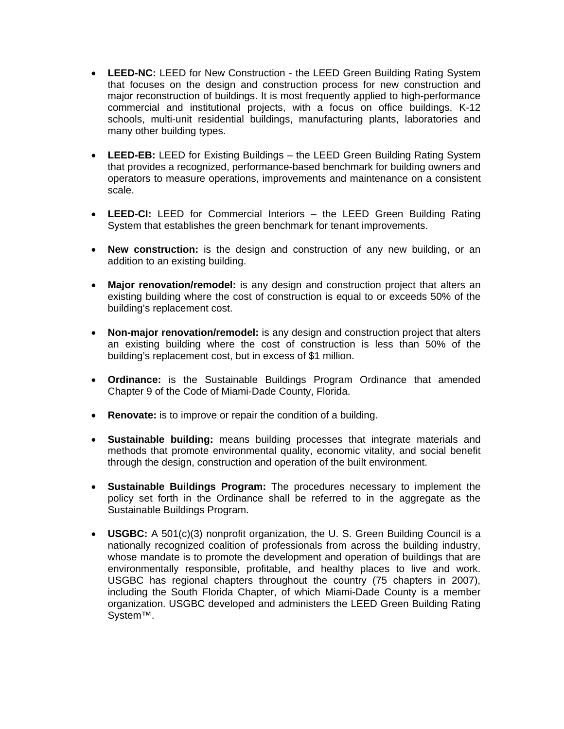- **LEED-NC:** LEED for New Construction the LEED Green Building Rating System that focuses on the design and construction process for new construction and major reconstruction of buildings. It is most frequently applied to high-performance commercial and institutional projects, with a focus on office buildings, K-12 schools, multi-unit residential buildings, manufacturing plants, laboratories and many other building types.
- **LEED-EB:** LEED for Existing Buildings the LEED Green Building Rating System that provides a recognized, performance-based benchmark for building owners and operators to measure operations, improvements and maintenance on a consistent scale.
- **LEED-CI:** LEED for Commercial Interiors the LEED Green Building Rating System that establishes the green benchmark for tenant improvements.
- **New construction:** is the design and construction of any new building, or an addition to an existing building.
- **Major renovation/remodel:** is any design and construction project that alters an existing building where the cost of construction is equal to or exceeds 50% of the building's replacement cost.
- **Non-major renovation/remodel:** is any design and construction project that alters an existing building where the cost of construction is less than 50% of the building's replacement cost, but in excess of \$1 million.
- **Ordinance:** is the Sustainable Buildings Program Ordinance that amended Chapter 9 of the Code of Miami-Dade County, Florida.
- **Renovate:** is to improve or repair the condition of a building.
- **Sustainable building:** means building processes that integrate materials and methods that promote environmental quality, economic vitality, and social benefit through the design, construction and operation of the built environment.
- **Sustainable Buildings Program:** The procedures necessary to implement the policy set forth in the Ordinance shall be referred to in the aggregate as the Sustainable Buildings Program.
- **USGBC:** A 501(c)(3) nonprofit organization, the U. S. Green Building Council is a nationally recognized coalition of professionals from across the building industry, whose mandate is to promote the development and operation of buildings that are environmentally responsible, profitable, and healthy places to live and work. USGBC has regional chapters throughout the country (75 chapters in 2007), including the South Florida Chapter, of which Miami-Dade County is a member organization. USGBC developed and administers the LEED Green Building Rating System™.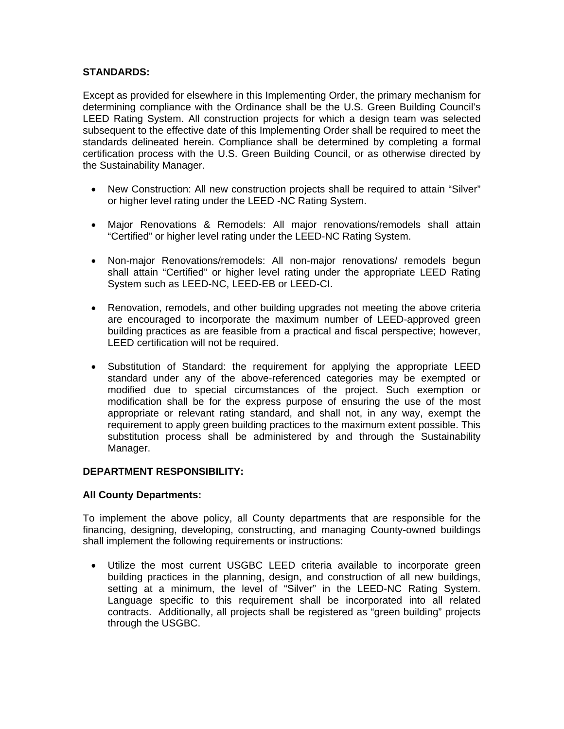# **STANDARDS:**

Except as provided for elsewhere in this Implementing Order, the primary mechanism for determining compliance with the Ordinance shall be the U.S. Green Building Council's LEED Rating System. All construction projects for which a design team was selected subsequent to the effective date of this Implementing Order shall be required to meet the standards delineated herein. Compliance shall be determined by completing a formal certification process with the U.S. Green Building Council, or as otherwise directed by the Sustainability Manager.

- New Construction: All new construction projects shall be required to attain "Silver" or higher level rating under the LEED -NC Rating System.
- Major Renovations & Remodels: All major renovations/remodels shall attain "Certified" or higher level rating under the LEED-NC Rating System.
- Non-major Renovations/remodels: All non-major renovations/ remodels begun shall attain "Certified" or higher level rating under the appropriate LEED Rating System such as LEED-NC, LEED-EB or LEED-CI.
- Renovation, remodels, and other building upgrades not meeting the above criteria are encouraged to incorporate the maximum number of LEED-approved green building practices as are feasible from a practical and fiscal perspective; however, LEED certification will not be required.
- Substitution of Standard: the requirement for applying the appropriate LEED standard under any of the above-referenced categories may be exempted or modified due to special circumstances of the project. Such exemption or modification shall be for the express purpose of ensuring the use of the most appropriate or relevant rating standard, and shall not, in any way, exempt the requirement to apply green building practices to the maximum extent possible. This substitution process shall be administered by and through the Sustainability Manager.

#### **DEPARTMENT RESPONSIBILITY:**

#### **All County Departments:**

To implement the above policy, all County departments that are responsible for the financing, designing, developing, constructing, and managing County-owned buildings shall implement the following requirements or instructions:

• Utilize the most current USGBC LEED criteria available to incorporate green building practices in the planning, design, and construction of all new buildings, setting at a minimum, the level of "Silver" in the LEED-NC Rating System. Language specific to this requirement shall be incorporated into all related contracts. Additionally, all projects shall be registered as "green building" projects through the USGBC.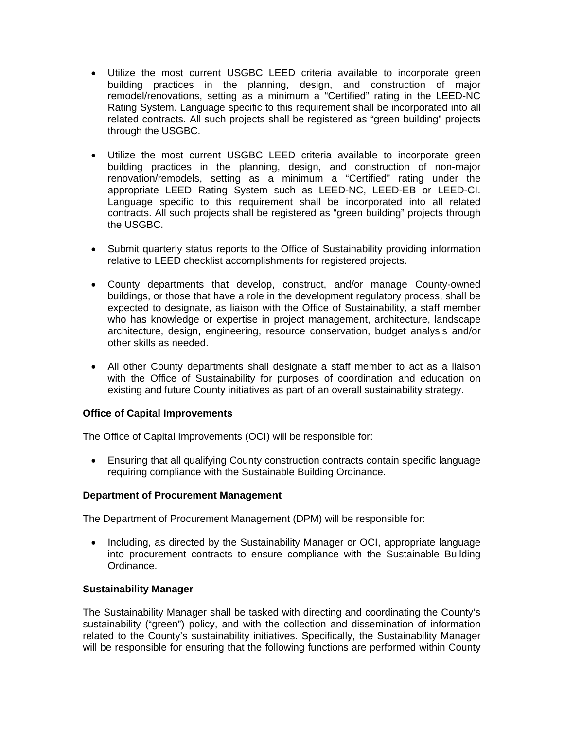- Utilize the most current USGBC LEED criteria available to incorporate green building practices in the planning, design, and construction of major remodel/renovations, setting as a minimum a "Certified" rating in the LEED-NC Rating System. Language specific to this requirement shall be incorporated into all related contracts. All such projects shall be registered as "green building" projects through the USGBC.
- Utilize the most current USGBC LEED criteria available to incorporate green building practices in the planning, design, and construction of non-major renovation/remodels, setting as a minimum a "Certified" rating under the appropriate LEED Rating System such as LEED-NC, LEED-EB or LEED-CI. Language specific to this requirement shall be incorporated into all related contracts. All such projects shall be registered as "green building" projects through the USGBC.
- Submit quarterly status reports to the Office of Sustainability providing information relative to LEED checklist accomplishments for registered projects.
- County departments that develop, construct, and/or manage County-owned buildings, or those that have a role in the development regulatory process, shall be expected to designate, as liaison with the Office of Sustainability, a staff member who has knowledge or expertise in project management, architecture, landscape architecture, design, engineering, resource conservation, budget analysis and/or other skills as needed.
- All other County departments shall designate a staff member to act as a liaison with the Office of Sustainability for purposes of coordination and education on existing and future County initiatives as part of an overall sustainability strategy.

#### **Office of Capital Improvements**

The Office of Capital Improvements (OCI) will be responsible for:

• Ensuring that all qualifying County construction contracts contain specific language requiring compliance with the Sustainable Building Ordinance.

#### **Department of Procurement Management**

The Department of Procurement Management (DPM) will be responsible for:

• Including, as directed by the Sustainability Manager or OCI, appropriate language into procurement contracts to ensure compliance with the Sustainable Building Ordinance.

#### **Sustainability Manager**

The Sustainability Manager shall be tasked with directing and coordinating the County's sustainability ("green") policy, and with the collection and dissemination of information related to the County's sustainability initiatives. Specifically, the Sustainability Manager will be responsible for ensuring that the following functions are performed within County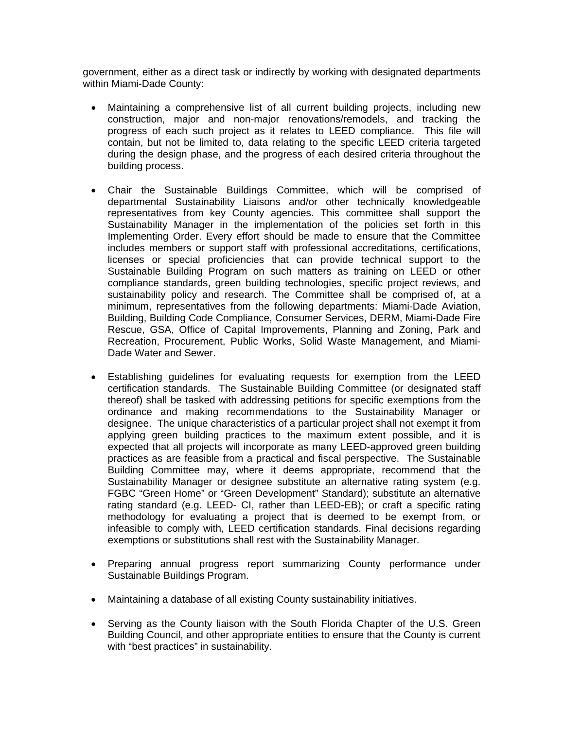government, either as a direct task or indirectly by working with designated departments within Miami-Dade County:

- Maintaining a comprehensive list of all current building projects, including new construction, major and non-major renovations/remodels, and tracking the progress of each such project as it relates to LEED compliance. This file will contain, but not be limited to, data relating to the specific LEED criteria targeted during the design phase, and the progress of each desired criteria throughout the building process.
- Chair the Sustainable Buildings Committee, which will be comprised of departmental Sustainability Liaisons and/or other technically knowledgeable representatives from key County agencies. This committee shall support the Sustainability Manager in the implementation of the policies set forth in this Implementing Order. Every effort should be made to ensure that the Committee includes members or support staff with professional accreditations, certifications, licenses or special proficiencies that can provide technical support to the Sustainable Building Program on such matters as training on LEED or other compliance standards, green building technologies, specific project reviews, and sustainability policy and research. The Committee shall be comprised of, at a minimum, representatives from the following departments: Miami-Dade Aviation, Building, Building Code Compliance, Consumer Services, DERM, Miami-Dade Fire Rescue, GSA, Office of Capital Improvements, Planning and Zoning, Park and Recreation, Procurement, Public Works, Solid Waste Management, and Miami-Dade Water and Sewer.
- Establishing guidelines for evaluating requests for exemption from the LEED certification standards. The Sustainable Building Committee (or designated staff thereof) shall be tasked with addressing petitions for specific exemptions from the ordinance and making recommendations to the Sustainability Manager or designee. The unique characteristics of a particular project shall not exempt it from applying green building practices to the maximum extent possible, and it is expected that all projects will incorporate as many LEED-approved green building practices as are feasible from a practical and fiscal perspective. The Sustainable Building Committee may, where it deems appropriate, recommend that the Sustainability Manager or designee substitute an alternative rating system (e.g. FGBC "Green Home" or "Green Development" Standard); substitute an alternative rating standard (e.g. LEED- CI, rather than LEED-EB); or craft a specific rating methodology for evaluating a project that is deemed to be exempt from, or infeasible to comply with, LEED certification standards. Final decisions regarding exemptions or substitutions shall rest with the Sustainability Manager.
- Preparing annual progress report summarizing County performance under Sustainable Buildings Program.
- Maintaining a database of all existing County sustainability initiatives.
- Serving as the County liaison with the South Florida Chapter of the U.S. Green Building Council, and other appropriate entities to ensure that the County is current with "best practices" in sustainability.